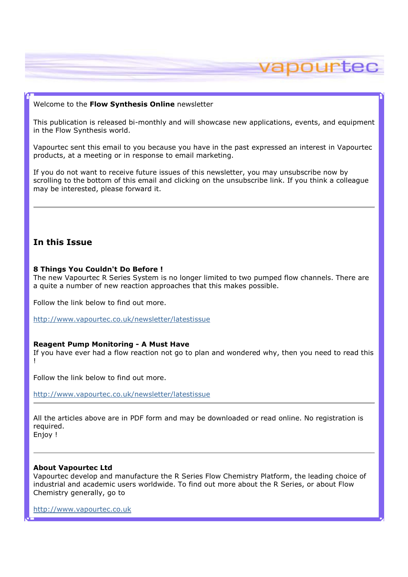### Welcome to the Flow Synthesis Online newsletter

This publication is released bi-monthly and will showcase new applications, events, and equipment in the Flow Synthesis world.

vapourtec

Vapourtec sent this email to you because you have in the past expressed an interest in Vapourtec products, at a meeting or in response to email marketing.

If you do not want to receive future issues of this newsletter, you may unsubscribe now by scrolling to the bottom of this email and clicking on the unsubscribe link. If you think a colleague may be interested, please forward it.

# In this Issue

#### 8 Things You Couldn't Do Before !

The new Vapourtec R Series System is no longer limited to two pumped flow channels. There are a quite a number of new reaction approaches that this makes possible.

Follow the link below to find out more.

http://www.vapourtec.co.uk/newsletter/latestissue

### Reagent Pump Monitoring - A Must Have

If you have ever had a flow reaction not go to plan and wondered why, then you need to read this !

Follow the link below to find out more.

http://www.vapourtec.co.uk/newsletter/latestissue

All the articles above are in PDF form and may be downloaded or read online. No registration is required.

## Enjoy !

### About Vapourtec Ltd

Vapourtec develop and manufacture the R Series Flow Chemistry Platform, the leading choice of industrial and academic users worldwide. To find out more about the R Series, or about Flow Chemistry generally, go to

http://www.vapourtec.co.uk